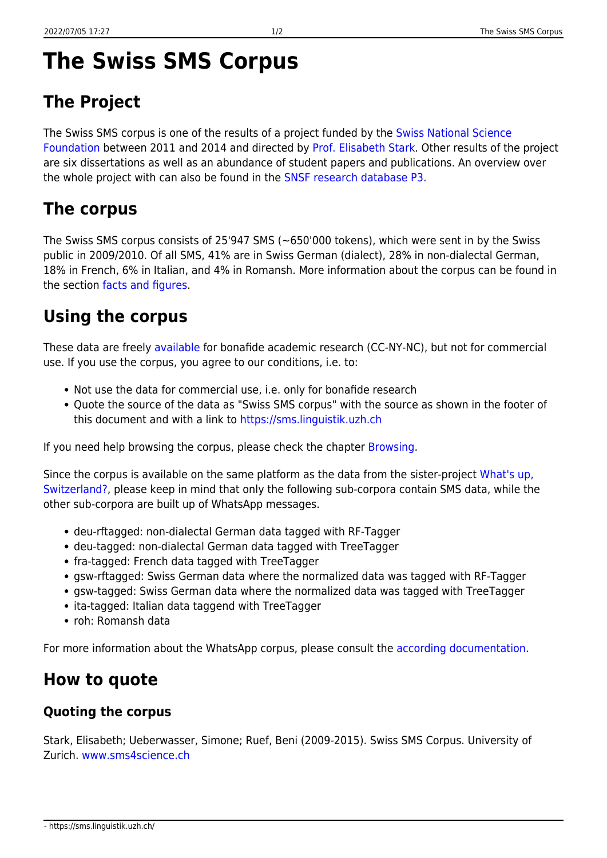# **The Swiss SMS Corpus**

## **The Project**

The Swiss SMS corpus is one of the results of a project funded by the [Swiss National Science](https://www.snf.ch/) [Foundation](https://www.snf.ch/) between 2011 and 2014 and directed by [Prof. Elisabeth Stark](https://www.rose.uzh.ch/en/seminar/wersindwir/mitarbeitende/Stark.html). Other results of the project are six dissertations as well as an abundance of student papers and publications. An overview over the whole project with can also be found in the [SNSF research database P3](https://p3.snf.ch/project-136230).

### **The corpus**

The Swiss SMS corpus consists of 25'947 SMS (~650'000 tokens), which were sent in by the Swiss public in 2009/2010. Of all SMS, 41% are in Swiss German (dialect), 28% in non-dialectal German, 18% in French, 6% in Italian, and 4% in Romansh. More information about the corpus can be found in the section [facts and figures.](https://sms.linguistik.uzh.ch/05_facts_and_figures)

### **Using the corpus**

These data are freely [available](https://corpora.linguistik.uzh.ch/annis/) for bonafide academic research (CC-NY-NC), but not for commercial use. If you use the corpus, you agree to our conditions, i.e. to:

- Not use the data for commercial use, i.e. only for bonafide research
- Quote the source of the data as "Swiss SMS corpus" with the source as shown in the footer of this document and with a link to <https://sms.linguistik.uzh.ch>

If you need help browsing the corpus, please check the chapter [Browsing.](https://sms.linguistik.uzh.ch/02_browsing)

Since the corpus is available on the same platform as the data from the sister-project [What's up,](https://www.whatsup-switzerland.ch/index.php/en/) [Switzerland?,](https://www.whatsup-switzerland.ch/index.php/en/) please keep in mind that only the following sub-corpora contain SMS data, while the other sub-corpora are built up of WhatsApp messages.

- deu-rftagged: non-dialectal German data tagged with RF-Tagger
- deu-tagged: non-dialectal German data tagged with TreeTagger
- fra-tagged: French data tagged with TreeTagger
- gsw-rftagged: Swiss German data where the normalized data was tagged with RF-Tagger
- gsw-tagged: Swiss German data where the normalized data was tagged with TreeTagger
- ita-tagged: Italian data taggend with TreeTagger
- roh: Romansh data

For more information about the WhatsApp corpus, please consult the [according documentation.](https://corpus.whatsup-switzerland.ch/index.php/en/)

### **How to quote**

#### **Quoting the corpus**

Stark, Elisabeth; Ueberwasser, Simone; Ruef, Beni (2009-2015). Swiss SMS Corpus. University of Zurich. [www.sms4science.ch](http://www.sms4science.ch)